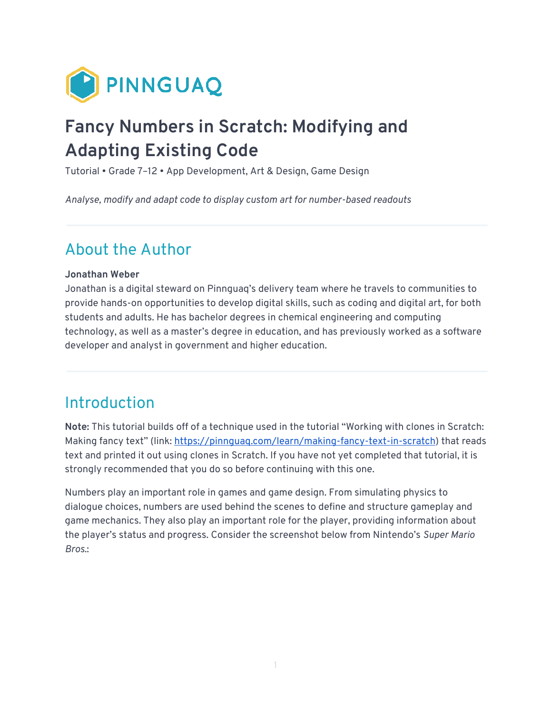

# **Fancy Numbers in Scratch: Modifying and Adapting Existing Code**

Tutorial • Grade 7–12 • App Development, Art & Design, Game Design

*Analyse, modify and adapt code to display custom art for number-based readouts* 

# About the Author

#### **Jonathan Weber**

Jonathan is a digital steward on Pinnguaq's delivery team where he travels to communities to provide hands-on opportunities to develop digital skills, such as coding and digital art, for both students and adults. He has bachelor degrees in chemical engineering and computing technology, as well as a master's degree in education, and has previously worked as a software developer and analyst in government and higher education.

### **Introduction**

**Note:** This tutorial builds off of a technique used in the tutorial "Working with clones in Scratch: Making fancy text" (link: https://pinnquaq.com/learn/making-fancy-text-in-scratch) that reads text and printed it out using clones in Scratch. If you have not yet completed that tutorial, it is strongly recommended that you do so before continuing with this one.

Numbers play an important role in games and game design. From simulating physics to dialogue choices, numbers are used behind the scenes to define and structure gameplay and game mechanics. They also play an important role for the player, providing information about the player's status and progress. Consider the screenshot below from Nintendo's *Super Mario Bros.*: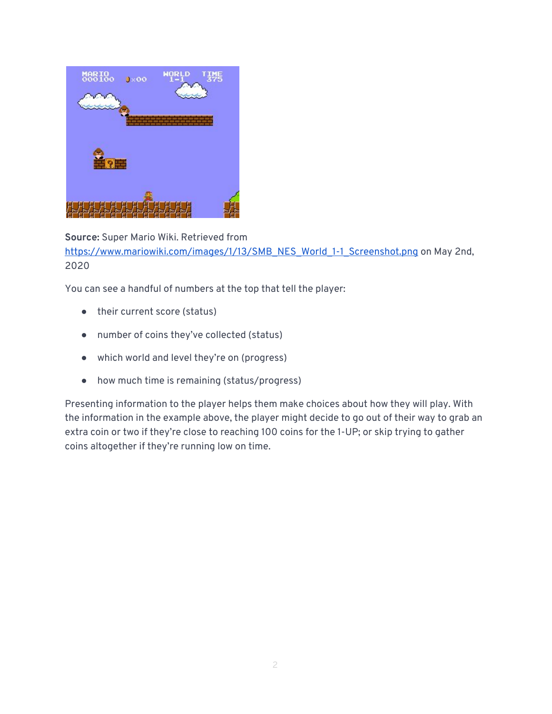

**Source:** Super Mario Wiki. Retrieved from [https://www.mariowiki.com/images/1/13/SMB\\_NES\\_World\\_1-1\\_Screenshot.png](https://www.mariowiki.com/images/1/13/SMB_NES_World_1-1_Screenshot.png) on May 2nd, 2020

You can see a handful of numbers at the top that tell the player:

- their current score (status)
- number of coins they've collected (status)
- which world and level they're on (progress)
- how much time is remaining (status/progress)

Presenting information to the player helps them make choices about how they will play. With the information in the example above, the player might decide to go out of their way to grab an extra coin or two if they're close to reaching 100 coins for the 1-UP; or skip trying to gather coins altogether if they're running low on time.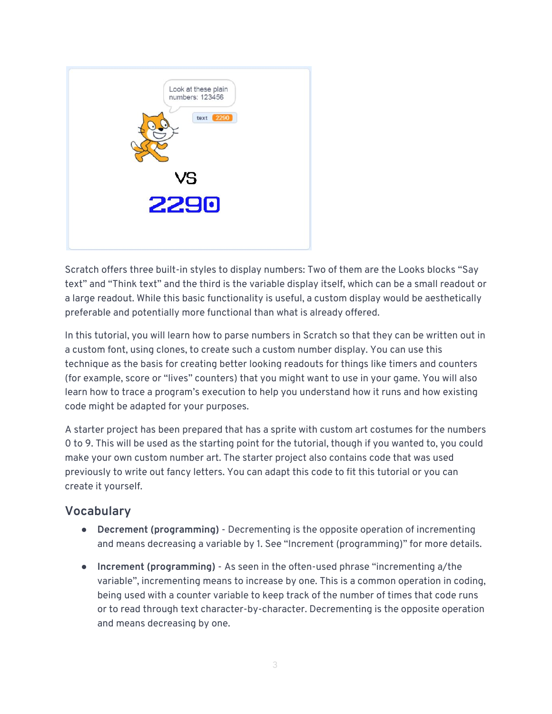

Scratch offers three built-in styles to display numbers: Two of them are the Looks blocks "Say text" and "Think text" and the third is the variable display itself, which can be a small readout or a large readout. While this basic functionality is useful, a custom display would be aesthetically preferable and potentially more functional than what is already offered.

In this tutorial, you will learn how to parse numbers in Scratch so that they can be written out in a custom font, using clones, to create such a custom number display. You can use this technique as the basis for creating better looking readouts for things like timers and counters (for example, score or "lives" counters) that you might want to use in your game. You will also learn how to trace a program's execution to help you understand how it runs and how existing code might be adapted for your purposes.

A starter project has been prepared that has a sprite with custom art costumes for the numbers 0 to 9. This will be used as the starting point for the tutorial, though if you wanted to, you could make your own custom number art. The starter project also contains code that was used previously to write out fancy letters. You can adapt this code to fit this tutorial or you can create it yourself.

#### **Vocabulary**

- **Decrement (programming)**  Decrementing is the opposite operation of incrementing and means decreasing a variable by 1. See "Increment (programming)" for more details.
- **Increment (programming)**  As seen in the often-used phrase "incrementing a/the variable", incrementing means to increase by one. This is a common operation in coding, being used with a counter variable to keep track of the number of times that code runs or to read through text character-by-character. Decrementing is the opposite operation and means decreasing by one.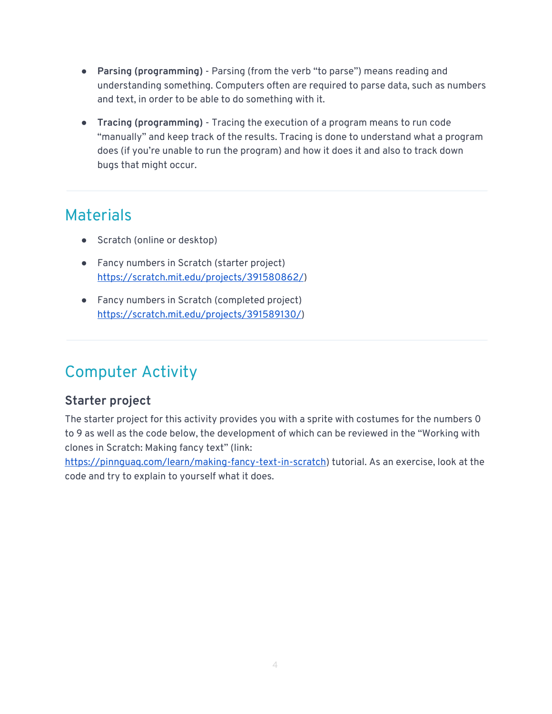- **Parsing (programming)** Parsing (from the verb "to parse") means reading and understanding something. Computers often are required to parse data, such as numbers and text, in order to be able to do something with it.
- **Tracing (programming)** Tracing the execution of a program means to run code "manually" and keep track of the results. Tracing is done to understand what a program does (if you're unable to run the program) and how it does it and also to track down bugs that might occur.

# **Materials**

- Scratch (online or desktop)
- Fancy numbers in Scratch (starter project) <https://scratch.mit.edu/projects/391580862/>)
- Fancy numbers in Scratch (completed project) <https://scratch.mit.edu/projects/391589130/>)

# Computer Activity

### **Starter project**

The starter project for this activity provides you with a sprite with costumes for the numbers 0 to 9 as well as the code below, the development of which can be reviewed in the "Working with clones in Scratch: Making fancy text" (link:

[https://pinnguaq.com/learn/making-fancy-text-in-scratch\)](https://pinnguaq.com/learn/making-fancy-text-in-scratch) tutorial. As an exercise, look at the code and try to explain to yourself what it does.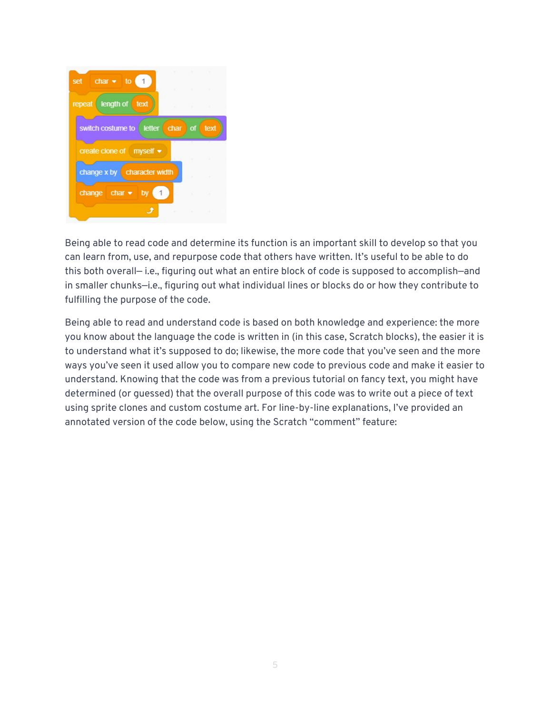

Being able to read code and determine its function is an important skill to develop so that you can learn from, use, and repurpose code that others have written. It's useful to be able to do this both overall— i.e., figuring out what an entire block of code is supposed to accomplish—and in smaller chunks—i.e., figuring out what individual lines or blocks do or how they contribute to fulfilling the purpose of the code.

Being able to read and understand code is based on both knowledge and experience: the more you know about the language the code is written in (in this case, Scratch blocks), the easier it is to understand what it's supposed to do; likewise, the more code that you've seen and the more ways you've seen it used allow you to compare new code to previous code and make it easier to understand. Knowing that the code was from a previous tutorial on fancy text, you might have determined (or guessed) that the overall purpose of this code was to write out a piece of text using sprite clones and custom costume art. For line-by-line explanations, I've provided an annotated version of the code below, using the Scratch "comment" feature: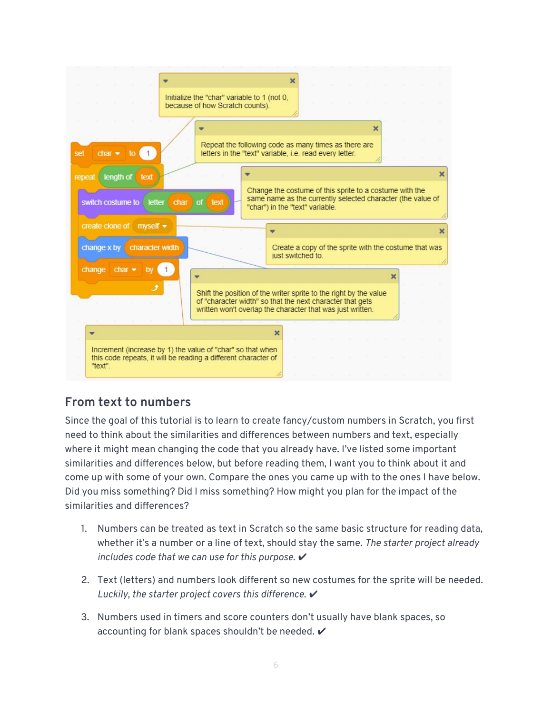

### **From text to numbers**

Since the goal of this tutorial is to learn to create fancy/custom numbers in Scratch, you first need to think about the similarities and differences between numbers and text, especially where it might mean changing the code that you already have. I've listed some important similarities and differences below, but before reading them, I want you to think about it and come up with some of your own. Compare the ones you came up with to the ones I have below. Did you miss something? Did I miss something? How might you plan for the impact of the similarities and differences?

- 1. Numbers can be treated as text in Scratch so the same basic structure for reading data, whether it's a number or a line of text, should stay the same. *The starter project already*  includes code that we can use for this purpose. ✔
- 2. Text (letters) and numbers look different so new costumes for the sprite will be needed. *Luckily, the starter project covers this difference.* ✔
- 3. Numbers used in timers and score counters don't usually have blank spaces, so accounting for blank spaces shouldn't be needed.  $\checkmark$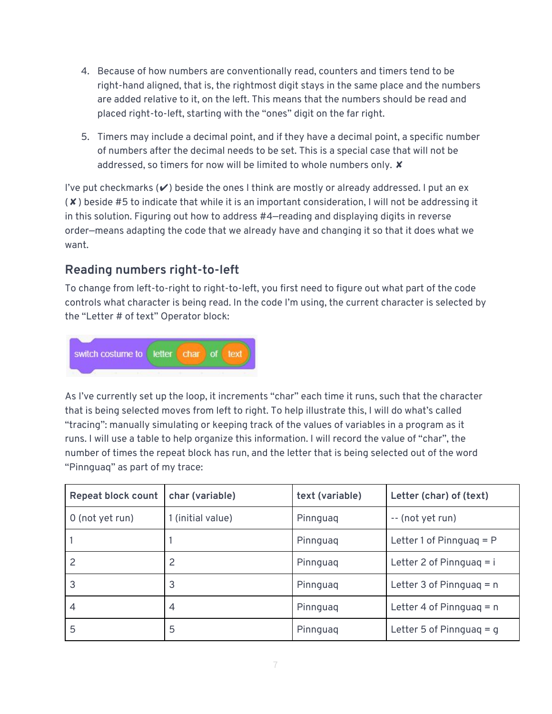- 4. Because of how numbers are conventionally read, counters and timers tend to be right-hand aligned, that is, the rightmost digit stays in the same place and the numbers are added relative to it, on the left. This means that the numbers should be read and placed right-to-left, starting with the "ones" digit on the far right.
- 5. Timers may include a decimal point, and if they have a decimal point, a specific number of numbers after the decimal needs to be set. This is a special case that will not be addressed, so timers for now will be limited to whole numbers only. **x**

I've put checkmarks  $(V)$  beside the ones I think are mostly or already addressed. I put an ex (✘) beside #5 to indicate that while it is an important consideration, I will not be addressing it in this solution. Figuring out how to address #4—reading and displaying digits in reverse order—means adapting the code that we already have and changing it so that it does what we want.

### **Reading numbers right-to-left**

To change from left-to-right to right-to-left, you first need to figure out what part of the code controls what character is being read. In the code I'm using, the current character is selected by the "Letter # of text" Operator block:



As I've currently set up the loop, it increments "char" each time it runs, such that the character that is being selected moves from left to right. To help illustrate this, I will do what's called "tracing": manually simulating or keeping track of the values of variables in a program as it runs. I will use a table to help organize this information. I will record the value of "char", the number of times the repeat block has run, and the letter that is being selected out of the word "Pinnguaq" as part of my trace:

| <b>Repeat block count</b> | char (variable)   | text (variable) | Letter (char) of (text)    |
|---------------------------|-------------------|-----------------|----------------------------|
| 0 (not yet run)           | 1 (initial value) | Pinnguag        | -- (not yet run)           |
|                           |                   | Pinnguag        | Letter 1 of Pinnguag $= P$ |
|                           |                   | Pinnguag        | Letter 2 of Pinnguag $=$ i |
| 3                         | 3                 | Pinnguag        | Letter 3 of Pinnguag = $n$ |
| $\overline{4}$            | 4                 | Pinnguag        | Letter 4 of Pinnguag = $n$ |
| 5                         | 5                 | Pinnguag        | Letter 5 of Pinnguag $= q$ |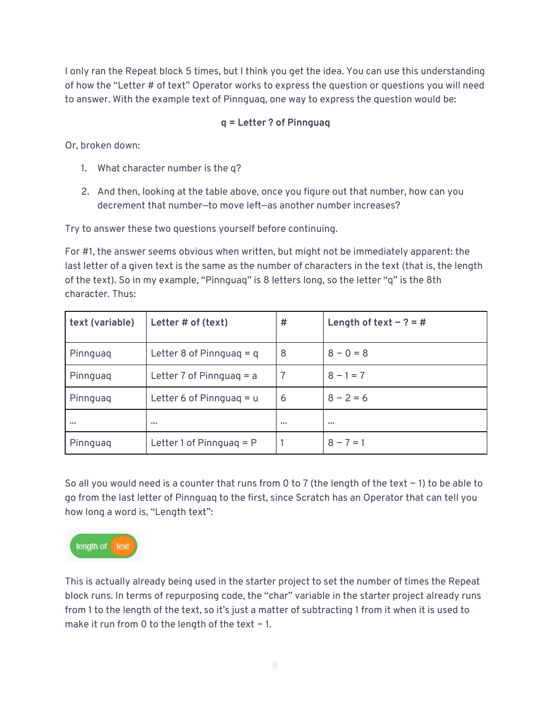I only ran the Repeat block 5 times, but I think you get the idea. You can use this understanding of how the "Letter # of text" Operator works to express the question or questions you will need to answer. With the example text of Pinnguaq, one way to express the question would be:

#### **q = Letter ? of Pinnguaq**

Or, broken down:

- 1. What character number is the q?
- 2. And then, looking at the table above, once you figure out that number, how can you decrement that number—to move left—as another number increases?

Try to answer these two questions yourself before continuing.

For #1, the answer seems obvious when written, but might not be immediately apparent: the last letter of a given text is the same as the number of characters in the text (that is, the length of the text). So in my example, "Pinnguaq" is 8 letters long, so the letter "q" is the 8th character. Thus:

| text (variable) | Letter # of (text)         | #                       | Length of text $- ? = #$ |
|-----------------|----------------------------|-------------------------|--------------------------|
| Pinnguag        | Letter 8 of Pinnguag $= q$ | 8                       | $8 - 0 = 8$              |
| Pinnguag        | Letter 7 of Pinnguag $=$ a |                         | $8 - 1 = 7$              |
| Pinnguag        | Letter 6 of Pinnguag $= u$ | 6                       | $8 - 2 = 6$              |
|                 | $\bullet\bullet\bullet$    | $\bullet\bullet\bullet$ | $\bullet\bullet\bullet$  |
| Pinnguag        | Letter 1 of Pinnguag $=$ P |                         | $8 - 7 = 1$              |

So all you would need is a counter that runs from 0 to 7 (the length of the text − 1) to be able to go from the last letter of Pinnguaq to the first, since Scratch has an Operator that can tell you how long a word is, "Length text":



This is actually already being used in the starter project to set the number of times the Repeat block runs. In terms of repurposing code, the "char" variable in the starter project already runs from 1 to the length of the text, so it's just a matter of subtracting 1 from it when it is used to make it run from 0 to the length of the text − 1.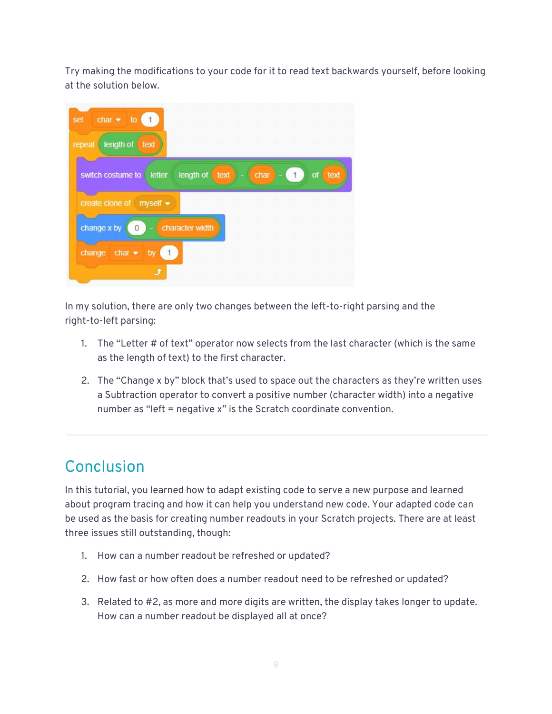Try making the modifications to your code for it to read text backwards yourself, before looking at the solution below.

| $char \rightarrow to @$<br>set                   |                                         |                                              |              |             |                   | TAC CONTRACTOR AND CONTRACTOR |                              | <b>Contract Contract</b> | - 30               |
|--------------------------------------------------|-----------------------------------------|----------------------------------------------|--------------|-------------|-------------------|-------------------------------|------------------------------|--------------------------|--------------------|
| repeat length of text                            |                                         |                                              |              |             |                   |                               |                              | $\sim$ 40                |                    |
| switch costume to<br>letter                      | length of $text$ ) - $\frac{1}{2}$ char |                                              |              |             |                   | 1                             | of                           | text                     |                    |
| create clone of myself $\bullet$                 |                                         | the control of the control of the control of |              |             | Telecommunication | <b>STAR</b>                   | and the state                |                          |                    |
| change x by<br>$\overline{0}$                    | character width                         |                                              | ×<br>٠       | <b>A</b>    | <b>COL</b>        | <b>COMPANY</b>                | <b>SILLER</b><br><b>Sec.</b> |                          | $\sim$ 100<br>- 12 |
| change char $\bullet$<br>by<br>$\vert$ 1 $\vert$ |                                         |                                              |              |             |                   |                               |                              |                          |                    |
|                                                  |                                         |                                              | <b>STATE</b> | <b>STEP</b> | $\sim$            |                               |                              |                          |                    |

In my solution, there are only two changes between the left-to-right parsing and the right-to-left parsing:

- 1. The "Letter # of text" operator now selects from the last character (which is the same as the length of text) to the first character.
- 2. The "Change x by" block that's used to space out the characters as they're written uses a Subtraction operator to convert a positive number (character width) into a negative number as "left = negative x" is the Scratch coordinate convention.

# Conclusion

In this tutorial, you learned how to adapt existing code to serve a new purpose and learned about program tracing and how it can help you understand new code. Your adapted code can be used as the basis for creating number readouts in your Scratch projects. There are at least three issues still outstanding, though:

- 1. How can a number readout be refreshed or updated?
- 2. How fast or how often does a number readout need to be refreshed or updated?
- 3. Related to #2, as more and more digits are written, the display takes longer to update. How can a number readout be displayed all at once?